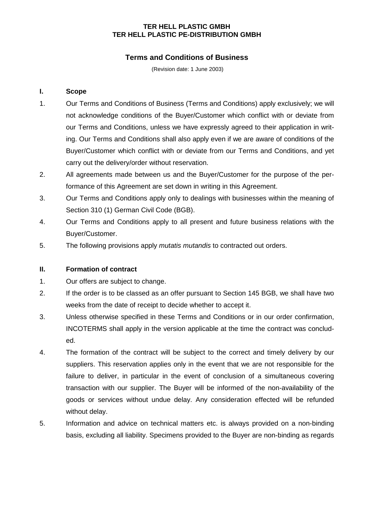# **TER HELL PLASTIC GMBH TER HELL PLASTIC PE-DISTRIBUTION GMBH**

# **Terms and Conditions of Business**

(Revision date: 1 June 2003)

## **I. Scope**

- 1. Our Terms and Conditions of Business (Terms and Conditions) apply exclusively; we will not acknowledge conditions of the Buyer/Customer which conflict with or deviate from our Terms and Conditions, unless we have expressly agreed to their application in writing. Our Terms and Conditions shall also apply even if we are aware of conditions of the Buyer/Customer which conflict with or deviate from our Terms and Conditions, and yet carry out the delivery/order without reservation.
- 2. All agreements made between us and the Buyer/Customer for the purpose of the performance of this Agreement are set down in writing in this Agreement.
- 3. Our Terms and Conditions apply only to dealings with businesses within the meaning of Section 310 (1) German Civil Code (BGB).
- 4. Our Terms and Conditions apply to all present and future business relations with the Buyer/Customer.
- 5. The following provisions apply *mutatis mutandis* to contracted out orders.

# **II. Formation of contract**

- 1. Our offers are subject to change.
- 2. If the order is to be classed as an offer pursuant to Section 145 BGB, we shall have two weeks from the date of receipt to decide whether to accept it.
- 3. Unless otherwise specified in these Terms and Conditions or in our order confirmation, INCOTERMS shall apply in the version applicable at the time the contract was concluded.
- 4. The formation of the contract will be subject to the correct and timely delivery by our suppliers. This reservation applies only in the event that we are not responsible for the failure to deliver, in particular in the event of conclusion of a simultaneous covering transaction with our supplier. The Buyer will be informed of the non-availability of the goods or services without undue delay. Any consideration effected will be refunded without delay.
- 5. Information and advice on technical matters etc. is always provided on a non-binding basis, excluding all liability. Specimens provided to the Buyer are non-binding as regards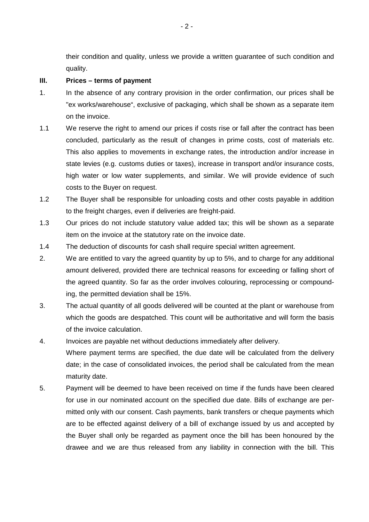their condition and quality, unless we provide a written guarantee of such condition and quality.

#### **III. Prices – terms of payment**

- 1. In the absence of any contrary provision in the order confirmation, our prices shall be "ex works/warehouse", exclusive of packaging, which shall be shown as a separate item on the invoice.
- 1.1 We reserve the right to amend our prices if costs rise or fall after the contract has been concluded, particularly as the result of changes in prime costs, cost of materials etc. This also applies to movements in exchange rates, the introduction and/or increase in state levies (e.g. customs duties or taxes), increase in transport and/or insurance costs, high water or low water supplements, and similar. We will provide evidence of such costs to the Buyer on request.
- 1.2 The Buyer shall be responsible for unloading costs and other costs payable in addition to the freight charges, even if deliveries are freight-paid.
- 1.3 Our prices do not include statutory value added tax; this will be shown as a separate item on the invoice at the statutory rate on the invoice date.
- 1.4 The deduction of discounts for cash shall require special written agreement.
- 2. We are entitled to vary the agreed quantity by up to 5%, and to charge for any additional amount delivered, provided there are technical reasons for exceeding or falling short of the agreed quantity. So far as the order involves colouring, reprocessing or compounding, the permitted deviation shall be 15%.
- 3. The actual quantity of all goods delivered will be counted at the plant or warehouse from which the goods are despatched. This count will be authoritative and will form the basis of the invoice calculation.
- 4. Invoices are payable net without deductions immediately after delivery. Where payment terms are specified, the due date will be calculated from the delivery date; in the case of consolidated invoices, the period shall be calculated from the mean maturity date.
- 5. Payment will be deemed to have been received on time if the funds have been cleared for use in our nominated account on the specified due date. Bills of exchange are permitted only with our consent. Cash payments, bank transfers or cheque payments which are to be effected against delivery of a bill of exchange issued by us and accepted by the Buyer shall only be regarded as payment once the bill has been honoured by the drawee and we are thus released from any liability in connection with the bill. This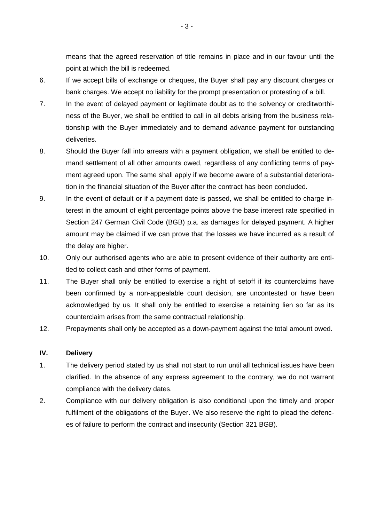means that the agreed reservation of title remains in place and in our favour until the point at which the bill is redeemed.

- 6. If we accept bills of exchange or cheques, the Buyer shall pay any discount charges or bank charges. We accept no liability for the prompt presentation or protesting of a bill.
- 7. In the event of delayed payment or legitimate doubt as to the solvency or creditworthiness of the Buyer, we shall be entitled to call in all debts arising from the business relationship with the Buyer immediately and to demand advance payment for outstanding deliveries.
- 8. Should the Buyer fall into arrears with a payment obligation, we shall be entitled to demand settlement of all other amounts owed, regardless of any conflicting terms of payment agreed upon. The same shall apply if we become aware of a substantial deterioration in the financial situation of the Buyer after the contract has been concluded.
- 9. In the event of default or if a payment date is passed, we shall be entitled to charge interest in the amount of eight percentage points above the base interest rate specified in Section 247 German Civil Code (BGB) p.a. as damages for delayed payment. A higher amount may be claimed if we can prove that the losses we have incurred as a result of the delay are higher.
- 10. Only our authorised agents who are able to present evidence of their authority are entitled to collect cash and other forms of payment.
- 11. The Buyer shall only be entitled to exercise a right of setoff if its counterclaims have been confirmed by a non-appealable court decision, are uncontested or have been acknowledged by us. It shall only be entitled to exercise a retaining lien so far as its counterclaim arises from the same contractual relationship.
- 12. Prepayments shall only be accepted as a down-payment against the total amount owed.

#### **IV. Delivery**

- 1. The delivery period stated by us shall not start to run until all technical issues have been clarified. In the absence of any express agreement to the contrary, we do not warrant compliance with the delivery dates.
- 2. Compliance with our delivery obligation is also conditional upon the timely and proper fulfilment of the obligations of the Buyer. We also reserve the right to plead the defences of failure to perform the contract and insecurity (Section 321 BGB).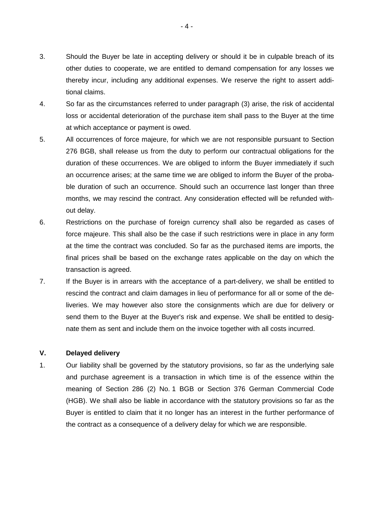- 3. Should the Buyer be late in accepting delivery or should it be in culpable breach of its other duties to cooperate, we are entitled to demand compensation for any losses we thereby incur, including any additional expenses. We reserve the right to assert additional claims.
- 4. So far as the circumstances referred to under paragraph (3) arise, the risk of accidental loss or accidental deterioration of the purchase item shall pass to the Buyer at the time at which acceptance or payment is owed.
- 5. All occurrences of force majeure, for which we are not responsible pursuant to Section 276 BGB, shall release us from the duty to perform our contractual obligations for the duration of these occurrences. We are obliged to inform the Buyer immediately if such an occurrence arises; at the same time we are obliged to inform the Buyer of the probable duration of such an occurrence. Should such an occurrence last longer than three months, we may rescind the contract. Any consideration effected will be refunded without delay.
- 6. Restrictions on the purchase of foreign currency shall also be regarded as cases of force majeure. This shall also be the case if such restrictions were in place in any form at the time the contract was concluded. So far as the purchased items are imports, the final prices shall be based on the exchange rates applicable on the day on which the transaction is agreed.
- 7. If the Buyer is in arrears with the acceptance of a part-delivery, we shall be entitled to rescind the contract and claim damages in lieu of performance for all or some of the deliveries. We may however also store the consignments which are due for delivery or send them to the Buyer at the Buyer's risk and expense. We shall be entitled to designate them as sent and include them on the invoice together with all costs incurred.

#### **V. Delayed delivery**

1. Our liability shall be governed by the statutory provisions, so far as the underlying sale and purchase agreement is a transaction in which time is of the essence within the meaning of Section 286 (2) No. 1 BGB or Section 376 German Commercial Code (HGB). We shall also be liable in accordance with the statutory provisions so far as the Buyer is entitled to claim that it no longer has an interest in the further performance of the contract as a consequence of a delivery delay for which we are responsible.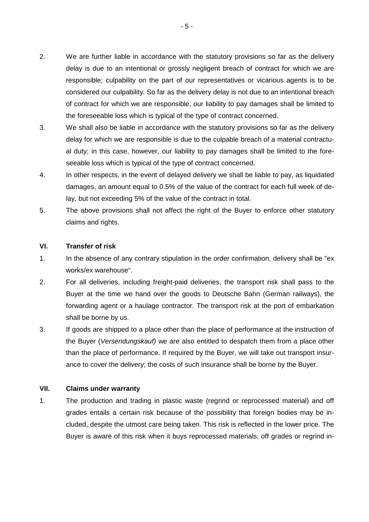- 2. We are further liable in accordance with the statutory provisions so far as the delivery delay is due to an intentional or grossly negligent breach of contract for which we are responsible; culpability on the part of our representatives or vicarious agents is to be considered our culpability. So far as the delivery delay is not due to an intentional breach of contract for which we are responsible, our liability to pay damages shall be limited to the foreseeable loss which is typical of the type of contract concerned.
- 3. We shall also be liable in accordance with the statutory provisions so far as the delivery delay for which we are responsible is due to the culpable breach of a material contractual duty; in this case, however, our liability to pay damages shall be limited to the foreseeable loss which is typical of the type of contract concerned.
- 4. In other respects, in the event of delayed delivery we shall be liable to pay, as liquidated damages, an amount equal to 0.5% of the value of the contract for each full week of delay, but not exceeding 5% of the value of the contract in total.
- 5. The above provisions shall not affect the right of the Buyer to enforce other statutory claims and rights.

## **VI. Transfer of risk**

- 1. In the absence of any contrary stipulation in the order confirmation, delivery shall be "ex works/ex warehouse".
- 2. For all deliveries, including freight-paid deliveries, the transport risk shall pass to the Buyer at the time we hand over the goods to Deutsche Bahn (German railways), the forwarding agent or a haulage contractor. The transport risk at the port of embarkation shall be borne by us.
- 3. If goods are shipped to a place other than the place of performance at the instruction of the Buyer (Versendungskauf) we are also entitled to despatch them from a place other than the place of performance. If required by the Buyer, we will take out transport insurance to cover the delivery; the costs of such insurance shall be borne by the Buyer.

#### **VII. Claims under warranty**

1. The production and trading in plastic waste (regrind or reprocessed material) and off grades entails a certain risk because of the possibility that foreign bodies may be included, despite the utmost care being taken. This risk is reflected in the lower price. The Buyer is aware of this risk when it buys reprocessed materials, off grades or regrind in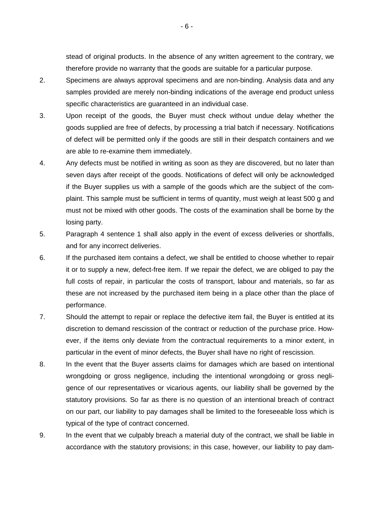stead of original products. In the absence of any written agreement to the contrary, we therefore provide no warranty that the goods are suitable for a particular purpose.

- 2. Specimens are always approval specimens and are non-binding. Analysis data and any samples provided are merely non-binding indications of the average end product unless specific characteristics are guaranteed in an individual case.
- 3. Upon receipt of the goods, the Buyer must check without undue delay whether the goods supplied are free of defects, by processing a trial batch if necessary. Notifications of defect will be permitted only if the goods are still in their despatch containers and we are able to re-examine them immediately.
- 4. Any defects must be notified in writing as soon as they are discovered, but no later than seven days after receipt of the goods. Notifications of defect will only be acknowledged if the Buyer supplies us with a sample of the goods which are the subject of the complaint. This sample must be sufficient in terms of quantity, must weigh at least 500 g and must not be mixed with other goods. The costs of the examination shall be borne by the losing party.
- 5. Paragraph 4 sentence 1 shall also apply in the event of excess deliveries or shortfalls, and for any incorrect deliveries.
- 6. If the purchased item contains a defect, we shall be entitled to choose whether to repair it or to supply a new, defect-free item. If we repair the defect, we are obliged to pay the full costs of repair, in particular the costs of transport, labour and materials, so far as these are not increased by the purchased item being in a place other than the place of performance.
- 7. Should the attempt to repair or replace the defective item fail, the Buyer is entitled at its discretion to demand rescission of the contract or reduction of the purchase price. However, if the items only deviate from the contractual requirements to a minor extent, in particular in the event of minor defects, the Buyer shall have no right of rescission.
- 8. In the event that the Buyer asserts claims for damages which are based on intentional wrongdoing or gross negligence, including the intentional wrongdoing or gross negligence of our representatives or vicarious agents, our liability shall be governed by the statutory provisions. So far as there is no question of an intentional breach of contract on our part, our liability to pay damages shall be limited to the foreseeable loss which is typical of the type of contract concerned.
- 9. In the event that we culpably breach a material duty of the contract, we shall be liable in accordance with the statutory provisions; in this case, however, our liability to pay dam-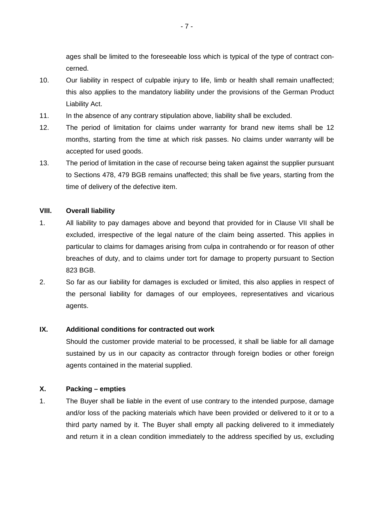ages shall be limited to the foreseeable loss which is typical of the type of contract concerned.

- 10. Our liability in respect of culpable injury to life, limb or health shall remain unaffected; this also applies to the mandatory liability under the provisions of the German Product Liability Act.
- 11. In the absence of any contrary stipulation above, liability shall be excluded.
- 12. The period of limitation for claims under warranty for brand new items shall be 12 months, starting from the time at which risk passes. No claims under warranty will be accepted for used goods.
- 13. The period of limitation in the case of recourse being taken against the supplier pursuant to Sections 478, 479 BGB remains unaffected; this shall be five years, starting from the time of delivery of the defective item.

#### **VIII. Overall liability**

- 1. All liability to pay damages above and beyond that provided for in Clause VII shall be excluded, irrespective of the legal nature of the claim being asserted. This applies in particular to claims for damages arising from culpa in contrahendo or for reason of other breaches of duty, and to claims under tort for damage to property pursuant to Section 823 BGB.
- 2. So far as our liability for damages is excluded or limited, this also applies in respect of the personal liability for damages of our employees, representatives and vicarious agents.

### **IX. Additional conditions for contracted out work**

Should the customer provide material to be processed, it shall be liable for all damage sustained by us in our capacity as contractor through foreign bodies or other foreign agents contained in the material supplied.

## **X. Packing – empties**

1. The Buyer shall be liable in the event of use contrary to the intended purpose, damage and/or loss of the packing materials which have been provided or delivered to it or to a third party named by it. The Buyer shall empty all packing delivered to it immediately and return it in a clean condition immediately to the address specified by us, excluding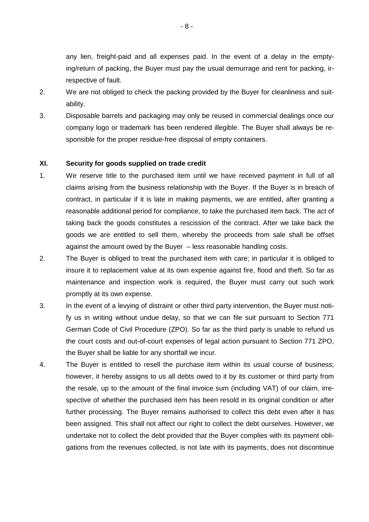any lien, freight-paid and all expenses paid. In the event of a delay in the emptying/return of packing, the Buyer must pay the usual demurrage and rent for packing, irrespective of fault.

- 2. We are not obliged to check the packing provided by the Buyer for cleanliness and suitability.
- 3. Disposable barrels and packaging may only be reused in commercial dealings once our company logo or trademark has been rendered illegible. The Buyer shall always be responsible for the proper residue-free disposal of empty containers.

#### **XI. Security for goods supplied on trade credit**

- 1. We reserve title to the purchased item until we have received payment in full of all claims arising from the business relationship with the Buyer. If the Buyer is in breach of contract, in particular if it is late in making payments, we are entitled, after granting a reasonable additional period for compliance, to take the purchased item back. The act of taking back the goods constitutes a rescission of the contract. After we take back the goods we are entitled to sell them, whereby the proceeds from sale shall be offset against the amount owed by the Buyer – less reasonable handling costs.
- 2. The Buyer is obliged to treat the purchased item with care; in particular it is obliged to insure it to replacement value at its own expense against fire, flood and theft. So far as maintenance and inspection work is required, the Buyer must carry out such work promptly at its own expense.
- 3. In the event of a levying of distraint or other third party intervention, the Buyer must notify us in writing without undue delay, so that we can file suit pursuant to Section 771 German Code of Civil Procedure (ZPO). So far as the third party is unable to refund us the court costs and out-of-court expenses of legal action pursuant to Section 771 ZPO, the Buyer shall be liable for any shortfall we incur.
- 4. The Buyer is entitled to resell the purchase item within its usual course of business; however, it hereby assigns to us all debts owed to it by its customer or third party from the resale, up to the amount of the final invoice sum (including VAT) of our claim, irrespective of whether the purchased item has been resold in its original condition or after further processing. The Buyer remains authorised to collect this debt even after it has been assigned. This shall not affect our right to collect the debt ourselves. However, we undertake not to collect the debt provided that the Buyer complies with its payment obligations from the revenues collected, is not late with its payments, does not discontinue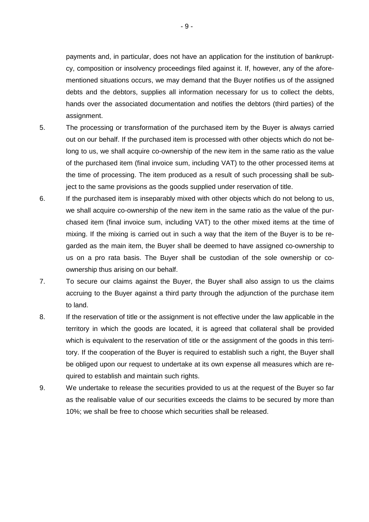payments and, in particular, does not have an application for the institution of bankruptcy, composition or insolvency proceedings filed against it. If, however, any of the aforementioned situations occurs, we may demand that the Buyer notifies us of the assigned debts and the debtors, supplies all information necessary for us to collect the debts, hands over the associated documentation and notifies the debtors (third parties) of the assignment.

- 5. The processing or transformation of the purchased item by the Buyer is always carried out on our behalf. If the purchased item is processed with other objects which do not belong to us, we shall acquire co-ownership of the new item in the same ratio as the value of the purchased item (final invoice sum, including VAT) to the other processed items at the time of processing. The item produced as a result of such processing shall be subject to the same provisions as the goods supplied under reservation of title.
- 6. If the purchased item is inseparably mixed with other objects which do not belong to us, we shall acquire co-ownership of the new item in the same ratio as the value of the purchased item (final invoice sum, including VAT) to the other mixed items at the time of mixing. If the mixing is carried out in such a way that the item of the Buyer is to be regarded as the main item, the Buyer shall be deemed to have assigned co-ownership to us on a pro rata basis. The Buyer shall be custodian of the sole ownership or coownership thus arising on our behalf.
- 7. To secure our claims against the Buyer, the Buyer shall also assign to us the claims accruing to the Buyer against a third party through the adjunction of the purchase item to land.
- 8. If the reservation of title or the assignment is not effective under the law applicable in the territory in which the goods are located, it is agreed that collateral shall be provided which is equivalent to the reservation of title or the assignment of the goods in this territory. If the cooperation of the Buyer is required to establish such a right, the Buyer shall be obliged upon our request to undertake at its own expense all measures which are required to establish and maintain such rights.
- 9. We undertake to release the securities provided to us at the request of the Buyer so far as the realisable value of our securities exceeds the claims to be secured by more than 10%; we shall be free to choose which securities shall be released.